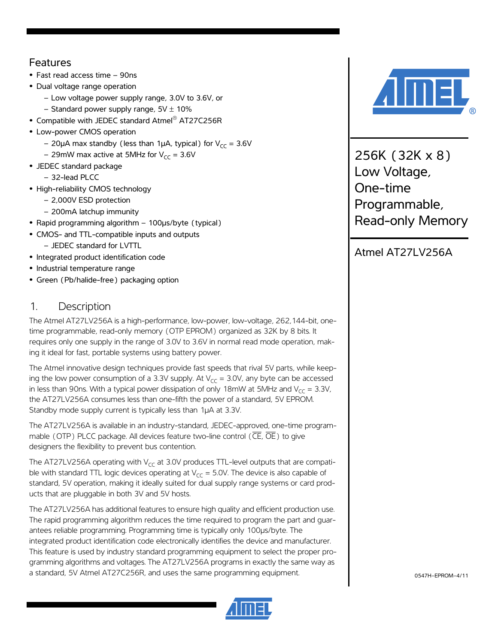### Features

- **•** Fast read access time 90ns
- **•** Dual voltage range operation
	- Low voltage power supply range, 3.0V to 3.6V, or
	- Standard power supply range,  $5V \pm 10\%$
- **•** Compatible with JEDEC standard Atmel® AT27C256R
- **•** Low-power CMOS operation
	- 20µA max standby (less than 1µA, typical) for  $V_{CC}$  = 3.6V
	- 29mW max active at 5MHz for  $V_{CC} = 3.6V$
- **•** JEDEC standard package
	- 32-lead PLCC
- **•** High-reliability CMOS technology
	- 2,000V ESD protection
	- 200mA latchup immunity
- **•** Rapid programming algorithm 100µs/byte (typical)
- **•** CMOS- and TTL-compatible inputs and outputs
	- JEDEC standard for LVTTL
- **•** Integrated product identification code
- **•** Industrial temperature range
- **•** Green (Pb/halide-free) packaging option

### 1. Description

The Atmel AT27LV256A is a high-performance, low-power, low-voltage, 262,144-bit, onetime programmable, read-only memory (OTP EPROM) organized as 32K by 8 bits. It requires only one supply in the range of 3.0V to 3.6V in normal read mode operation, making it ideal for fast, portable systems using battery power.

The Atmel innovative design techniques provide fast speeds that rival 5V parts, while keeping the low power consumption of a 3.3V supply. At  $V_{CC} = 3.0V$ , any byte can be accessed in less than 90ns. With a typical power dissipation of only 18mW at 5MHz and  $V_{CC} = 3.3V$ , the AT27LV256A consumes less than one-fifth the power of a standard, 5V EPROM. Standby mode supply current is typically less than 1µA at 3.3V.

The AT27LV256A is available in an industry-standard, JEDEC-approved, one-time programmable (OTP) PLCC package. All devices feature two-line control ( $\overline{\text{CE}}, \overline{\text{OE}}$ ) to give designers the flexibility to prevent bus contention.

The AT27LV256A operating with  $V_{cc}$  at 3.0V produces TTL-level outputs that are compatible with standard TTL logic devices operating at  $V_{CC} = 5.0V$ . The device is also capable of standard, 5V operation, making it ideally suited for dual supply range systems or card products that are pluggable in both 3V and 5V hosts.

The AT27LV256A has additional features to ensure high quality and efficient production use. The rapid programming algorithm reduces the time required to program the part and guarantees reliable programming. Programming time is typically only 100µs/byte. The integrated product identification code electronically identifies the device and manufacturer. This feature is used by industry standard programming equipment to select the proper programming algorithms and voltages. The AT27LV256A programs in exactly the same way as a standard, 5V Atmel AT27C256R, and uses the same programming equipment.





256K (32K x 8) Low Voltage, One-time Programmable, Read-only Memory

# Atmel AT27LV256A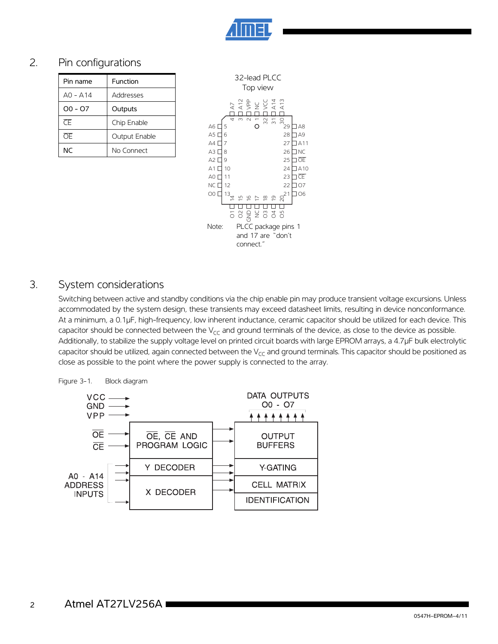

## 2. Pin configurations

| Function      |
|---------------|
| Addresses     |
| Outputs       |
| Chip Enable   |
| Output Enable |
| No Connect    |
|               |



#### 3. System considerations

Switching between active and standby conditions via the chip enable pin may produce transient voltage excursions. Unless accommodated by the system design, these transients may exceed datasheet limits, resulting in device nonconformance. At a minimum, a 0.1µF, high-frequency, low inherent inductance, ceramic capacitor should be utilized for each device. This capacitor should be connected between the  $V_{CC}$  and ground terminals of the device, as close to the device as possible. Additionally, to stabilize the supply voltage level on printed circuit boards with large EPROM arrays, a 4.7µF bulk electrolytic capacitor should be utilized, again connected between the  $V_{CC}$  and ground terminals. This capacitor should be positioned as close as possible to the point where the power supply is connected to the array.



 2 Atmel AT27LV256A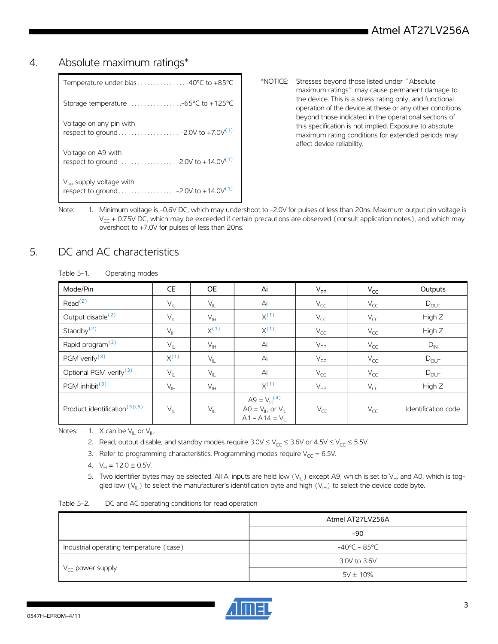#### 4. Absolute maximum ratings\*

| $V_{\text{pp}}$ supply voltage with                                                                  |
|------------------------------------------------------------------------------------------------------|
| Voltage on A9 with<br>respect to ground $\ldots \ldots \ldots \ldots -2.0V$ to +14.0V <sup>(1)</sup> |
| Voltage on any pin with                                                                              |
|                                                                                                      |
| Temperature under bias $\ldots \ldots \ldots \ldots -40^{\circ}C$ to +85 $^{\circ}C$                 |

- \*NOTICE: Stresses beyond those listed under "Absolute maximum ratings" may cause permanent damage to the device. This is a stress rating only, and functional operation of the device at these or any other conditions beyond those indicated in the operational sections of this specification is not implied. Exposure to absolute maximum rating conditions for extended periods may affect device reliability.
- <span id="page-2-0"></span>Note: 1. Minimum voltage is -0.6V DC, which may undershoot to -2.0V for pulses of less than 20ns. Maximum output pin voltage is  $V_{CC}$  + 0.75V DC, which may be exceeded if certain precautions are observed (consult application notes), and which may overshoot to +7.0V for pulses of less than 20ns.

## 5. DC and AC characteristics

| Operating modes |
|-----------------|
|                 |

| Mode/Pin                                 | $\overline{\text{CE}}$ | <b>OE</b>                  | Ai                                                                                        | $V_{\mathsf{PP}}$ | $V_{CC}$ | Outputs             |
|------------------------------------------|------------------------|----------------------------|-------------------------------------------------------------------------------------------|-------------------|----------|---------------------|
| Read <sup>(2)</sup>                      | $V_{IL}$               | $\mathsf{V}_{\mathsf{IL}}$ | Ai                                                                                        | $V_{CC}$          | $V_{CC}$ | $D_{OUT}$           |
| Output disable <sup>(2)</sup>            | $V_{IL}$               | $V_{\text{IH}}$            | $X^{(1)}$                                                                                 | $V_{CC}$          | $V_{CC}$ | High Z              |
| Standby $(2)$                            | $V_{\mathbb{H}}$       | $X^{(1)}$                  | $X^{(1)}$                                                                                 | $V_{CC}$          | $V_{CC}$ | High Z              |
| Rapid program <sup>(3)</sup>             | $V_{IL}$               | $V_{\text{IH}}$            | Ai                                                                                        | $V_{PP}$          | $V_{CC}$ | $D_{IN}$            |
| PGM verify <sup>(3)</sup>                | $X^{(1)}$              | $V_{IL}$                   | Ai                                                                                        | $V_{\text{PP}}$   | $V_{CC}$ | $D_{OUT}$           |
| Optional PGM verify <sup>(3)</sup>       | $V_{IL}$               | $V_{IL}$                   | Ai                                                                                        | $V_{CC}$          | $V_{CC}$ | $D_{OUT}$           |
| PGM inhibit <sup>(3)</sup>               | $V_{\ H}$              | $\mathsf{V}_{\mathsf{IH}}$ | $X^{(1)}$                                                                                 | $V_{\text{PP}}$   | $V_{CC}$ | High Z              |
| Product identification <sup>(3)(5)</sup> | $V_{IL}$               | $V_{IL}$                   | $A9 = V_H^{(4)}$<br>$AO = V_{\text{IH}}$ or $V_{\text{IL}}$<br>$A1 - A14 = V_{\parallel}$ | $V_{CC}$          | $V_{CC}$ | Identification code |

<span id="page-2-5"></span><span id="page-2-3"></span><span id="page-2-2"></span><span id="page-2-1"></span>Notes: 1. X can be  $V_{\parallel}$  or  $V_{\parallel}$ .

- 2. Read, output disable, and standby modes require  $3.0\sqrt{\epsilon} \leq V_{CC} \leq 3.6\sqrt{\epsilon}$  or  $4.5\sqrt{\epsilon} \leq 5.5\sqrt{\epsilon}$ .
- 3. Refer to programming characteristics. Programming modes require  $V_{CC} = 6.5V$ .
- 4.  $V_H = 12.0 \pm 0.5V$ .
- 5. Two identifier bytes may be selected. All Ai inputs are held low  $(V_{\parallel})$  except A9, which is set to  $V_{H}$ , and A0, which is toggled low  $(V_{II})$  to select the manufacturer's identification byte and high  $(V_{II})$  to select the device code byte.

<span id="page-2-4"></span>

| Table 5-2. | DC and AC operating conditions for read operation |  |  |
|------------|---------------------------------------------------|--|--|
|------------|---------------------------------------------------|--|--|

|                                         | Atmel AT27LV256A       |
|-----------------------------------------|------------------------|
|                                         | $-90$                  |
| Industrial operating temperature (case) | $-40^{\circ}$ C – 85°C |
| $V_{CC}$ power supply                   | 3.0V to 3.6V           |
|                                         | $5V \pm 10\%$          |

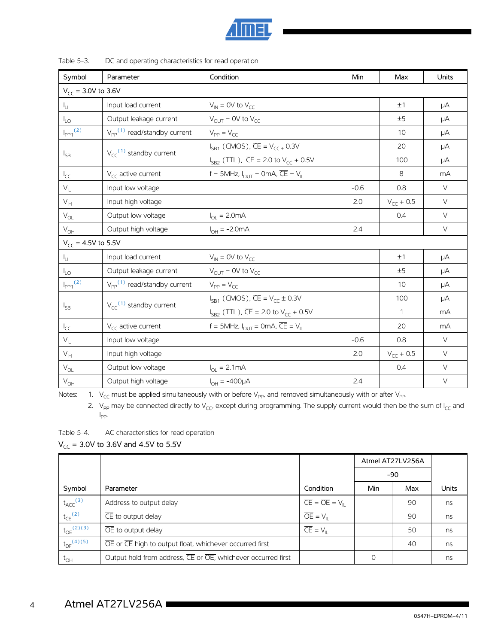

| Symbol                   | Parameter                                  | Condition                                                                  | <b>Min</b> | Max            | Units  |  |  |
|--------------------------|--------------------------------------------|----------------------------------------------------------------------------|------------|----------------|--------|--|--|
| $V_{CC}$ = 3.0V to 3.6V  |                                            |                                                                            |            |                |        |  |  |
| I <sub>LI</sub>          | Input load current                         | $V_{IN}$ = 0V to $V_{CC}$                                                  |            | ±1             | μA     |  |  |
| $I_{LO}$                 | Output leakage current                     | $V_{OUIT} = OV$ to $V_{CC}$                                                |            | ±5             | μA     |  |  |
| $I_{PP1}$ <sup>(2)</sup> | $V_{\text{pp}}^{(1)}$ read/standby current | $V_{PP} = V_{CC}$                                                          |            | 10             | μA     |  |  |
|                          |                                            | $I_{SB1}$ (CMOS), $\overline{CE} = V_{CC\pm} 0.3V$                         |            | 20             | μA     |  |  |
| $I_{SB}$                 | $V_{cc}$ <sup>(1)</sup> standby current    | $I_{SB2}$ (TTL), $\overline{CE}$ = 2.0 to $V_{CC}$ + 0.5V                  |            | 100            | μA     |  |  |
| $I_{CC}$                 | $V_{\text{CC}}$ active current             | f = 5MHz, $I_{OUT}$ = 0mA, $\overline{CE}$ = $V_{IL}$                      |            | 8              | mA     |  |  |
| $V_{\parallel}$          | Input low voltage                          |                                                                            | $-0.6$     | 0.8            | $\vee$ |  |  |
| $V_{\text{IH}}$          | Input high voltage                         |                                                                            | 2.0        | $V_{CC} + 0.5$ | $\vee$ |  |  |
| $V_{OL}$                 | Output low voltage                         | $I_{\text{OI}} = 2.0 \text{mA}$                                            |            | 0.4            | $\vee$ |  |  |
| $V_{OH}$                 | Output high voltage                        | $I_{OH} = -2.0mA$                                                          | 2.4        |                | $\vee$ |  |  |
| $V_{CC}$ = 4.5V to 5.5V  |                                            |                                                                            |            |                |        |  |  |
| $I_{\rm LI}$             | Input load current                         | $V_{IN}$ = 0V to $V_{CC}$                                                  |            | ±1             | μA     |  |  |
| $I_{LO}$                 | Output leakage current                     | $V_{OUIT} = OV$ to $V_{CC}$                                                |            | ±5             | μA     |  |  |
| $I_{\text{PP1}}^{(2)}$   | $V_{\text{pp}}^{(1)}$ read/standby current | $V_{PP} = V_{CC}$                                                          |            | 10             | μA     |  |  |
|                          | $V_{cc}$ <sup>(1)</sup> standby current    | $I_{SB1}$ (CMOS), $\overline{CE} = V_{CC} \pm 0.3V$                        |            | 100            | μA     |  |  |
| $I_{SB}$                 |                                            | $I_{SB2}$ (TTL), $\overline{CE}$ = 2.0 to $V_{CC}$ + 0.5V                  |            | $\mathbf{1}$   | mA     |  |  |
| $I_{CC}$                 | $V_{\text{CC}}$ active current             | f = 5MHz, $I_{\text{OUT}}$ = 0mA, $\overline{\text{CE}}$ = $V_{\text{II}}$ |            | 20             | mA     |  |  |
| $V_{\parallel}$          | Input low voltage                          |                                                                            | $-0.6$     | 0.8            | $\vee$ |  |  |
| $V_{\text{IH}}$          | Input high voltage                         |                                                                            | 2.0        | $V_{CC}$ + 0.5 | $\vee$ |  |  |
| $V_{OL}$                 | Output low voltage                         | $I_{\text{OI}} = 2.1 \text{mA}$                                            |            | 0.4            | $\vee$ |  |  |
| $\rm V_{OH}$             | Output high voltage                        | $I_{OH} = -400 \mu A$                                                      | 2.4        |                | $\vee$ |  |  |

<span id="page-3-1"></span><span id="page-3-0"></span>Notes: 1.  $V_{CC}$  must be applied simultaneously with or before V<sub>PP</sub>, and removed simultaneously with or after V<sub>PP</sub>.

2. V<sub>PP</sub> may be connected directly to V<sub>CC</sub>, except during programming. The supply current would then be the sum of I<sub>CC</sub> and I  $\mathsf{I}_{\mathsf{PP}}$ 

Table 5-4. AC characteristics for read operation

 $V_{CC}$  = 3.0V to 3.6V and 4.5V to 5.5V

|                            |                                                              |                                                 | Atmel AT27LV256A |     |       |
|----------------------------|--------------------------------------------------------------|-------------------------------------------------|------------------|-----|-------|
|                            |                                                              |                                                 | $-90$            |     |       |
| Symbol                     | Parameter                                                    | Condition                                       | Min              | Max | Units |
| $t_{\text{ACC}}^{(3)}$     | Address to output delay                                      | $\overline{CE} = \overline{OE} = V_{\text{II}}$ |                  | 90  | ns    |
| $t_{CE}$ <sup>(2)</sup>    | $\overline{\mathsf{CE}}$ to output delay                     | $\overline{OE} = V_{\parallel}$                 |                  | 90  | ns    |
| $t_{OE}^{(2)(3)}$          | $\overline{OE}$ to output delay                              | $\overline{CE} = V_{\parallel}$                 |                  | 50  | ns    |
| $t_{DF}$ <sup>(4)(5)</sup> | OE or CE high to output float, whichever occurred first      |                                                 |                  | 40  | ns    |
| $t_{\text{OH}}$            | Output hold from address, CE or OE, whichever occurred first |                                                 | 0                |     | ns    |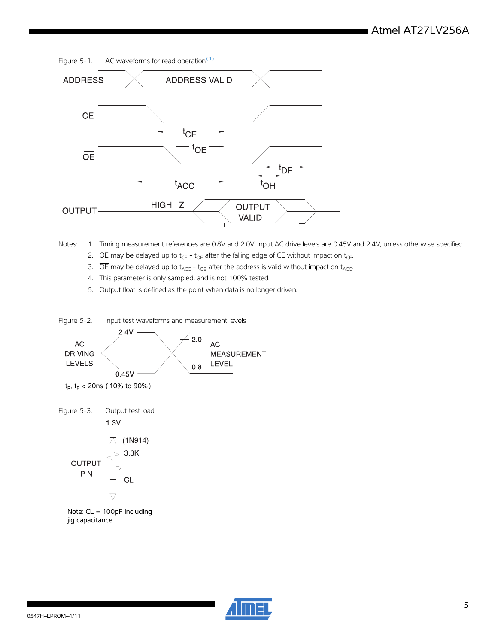Figure 5-1. AC waveforms for read operation $(1)$ 



<span id="page-4-4"></span><span id="page-4-3"></span><span id="page-4-1"></span><span id="page-4-0"></span>Notes: 1. Timing measurement references are 0.8V and 2.0V. Input AC drive levels are 0.45V and 2.4V, unless otherwise specified.

2.  $\overline{OE}$  may be delayed up to t<sub>CE</sub> - t<sub>OE</sub> after the falling edge of  $\overline{CE}$  without impact on t<sub>CE</sub>.

- 3.  $\overline{OE}$  may be delayed up to t<sub>ACC</sub> t<sub>OE</sub> after the address is valid without impact on t<sub>ACC</sub>.
- 4. This parameter is only sampled, and is not 100% tested.
- 5. Output float is defined as the point when data is no longer driven.

<span id="page-4-2"></span>

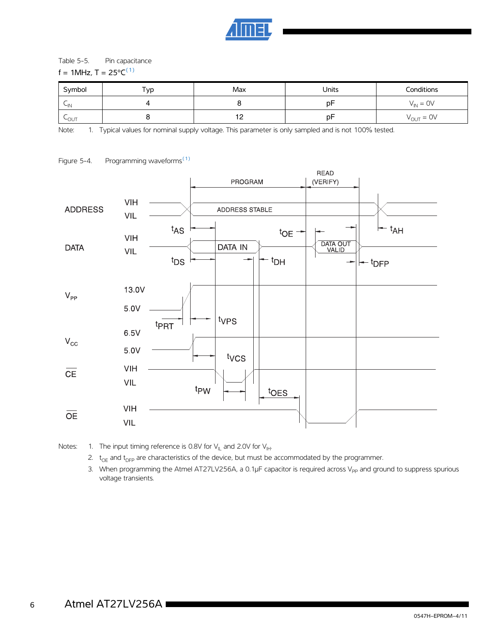

#### Table 5-5. Pin capacitance

#### f = 1MHz,  $T = 25^{\circ}C^{(1)}$

| Symbol    | Тур | Max                      | Units | Conditions            |
|-----------|-----|--------------------------|-------|-----------------------|
| $\sim$ IN |     |                          | D٣    | $V_{\text{IN}} = 0V$  |
| LOUT      |     | $\overline{1}$<br>$\sim$ | D٣    | $V_{\text{OUT}} = 0V$ |

<span id="page-5-0"></span>Note: 1. Typical values for nominal supply voltage. This parameter is only sampled and is not 100% tested.



#### Figure 5-4. Programming waveforms<sup>[\(1\)](#page-5-1)</sup>

<span id="page-5-1"></span>Notes: 1. The input timing reference is 0.8V for  $V_{\parallel L}$  and 2.0V for  $V_{\parallel H}$ .

- 2.  $t_{OE}$  and  $t_{DFP}$  are characteristics of the device, but must be accommodated by the programmer.
- 3. When programming the Atmel AT27LV256A, a 0.1 $\mu$ F capacitor is required across V<sub>PP</sub> and ground to suppress spurious voltage transients.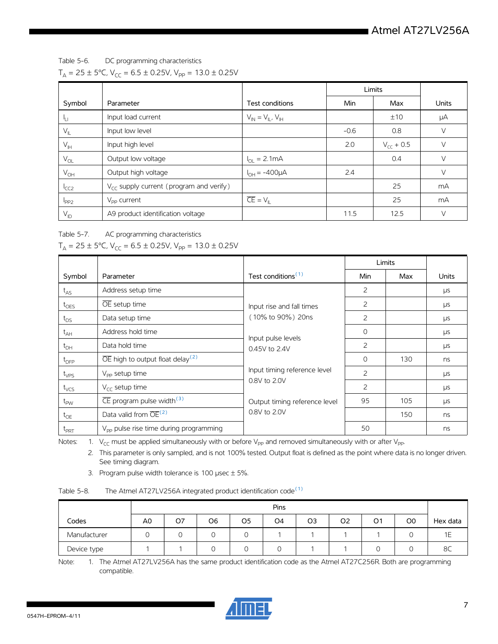Table 5-6. DC programming characteristics

 $T_A = 25 \pm 5^{\circ}$ C, V<sub>CC</sub> = 6.5  $\pm$  0.25V, V<sub>PP</sub> = 13.0  $\pm$  0.25V

|                  |                                                     |                                 | Limits |                |              |
|------------------|-----------------------------------------------------|---------------------------------|--------|----------------|--------------|
| Symbol           | Parameter                                           | Test conditions                 | Min    | Max            | <b>Units</b> |
| Կ⊔               | Input load current                                  | $V_{IN} = V_{IL}$ , $V_{IH}$    |        | ±10            | μA           |
| $V_{\parallel}$  | Input low level                                     |                                 | $-0.6$ | 0.8            | V            |
| $V_{\text{IH}}$  | Input high level                                    |                                 | 2.0    | $V_{cc}$ + 0.5 | V            |
| $V_{OL}$         | Output low voltage                                  | $I_{\text{OI}} = 2.1 \text{mA}$ |        | 0.4            | V            |
| $V_{OH}$         | Output high voltage                                 | $I_{OH} = -400 \mu A$           | 2.4    |                | V            |
| <sup>I</sup> CC2 | $V_{\text{CC}}$ supply current (program and verify) |                                 |        | 25             | mA           |
| 1 <sub>PP2</sub> | $V_{\text{pp}}$ current                             | $\overline{CE} = V_{\parallel}$ |        | 25             | mA           |
| $V_{ID}$         | A9 product identification voltage                   |                                 | 11.5   | 12.5           | V            |

Table 5-7. AC programming characteristics

|                  |                                                           |                                     | Limits         |     |            |
|------------------|-----------------------------------------------------------|-------------------------------------|----------------|-----|------------|
| Symbol           | Parameter                                                 | Test conditions <sup>(1)</sup>      | Min            | Max | Units      |
| $t_{AS}$         | Address setup time                                        |                                     | 2              |     | μs         |
| $t_{\text{OES}}$ | OE setup time                                             | Input rise and fall times           | 2              |     | μs         |
| $t_{DS}$         | Data setup time                                           | (10% to 90%) 20ns                   | 2              |     | μs         |
| $t_{AH}$         | Address hold time                                         |                                     | $\Omega$       |     | μs         |
| $t_{\text{DH}}$  | Data hold time                                            | Input pulse levels<br>0.45V to 2.4V | 2              |     | <b>LIS</b> |
| $t_{\text{DFP}}$ | $\overline{OE}$ high to output float delay <sup>(2)</sup> |                                     | $\Omega$       | 130 | ns         |
| $t_{VPS}$        | $V_{\text{pp}}$ setup time                                | Input timing reference level        | $\overline{c}$ |     | μs         |
| $t_{VCS}$        | $V_{cc}$ setup time                                       | 0.8V to 2.0V                        | 2              |     | μs         |
| $t_{\text{PW}}$  | $\overline{\text{CE}}$ program pulse width <sup>(3)</sup> | Output timing reference level       | 95             | 105 | μs         |
| $t_{OE}$         | Data valid from OE <sup>(2)</sup>                         | 0.8V to 2.0V                        |                | 150 | ns         |
| $t_{\text{PRT}}$ | V <sub>pp</sub> pulse rise time during programming        |                                     | 50             |     | ns         |

<span id="page-6-1"></span><span id="page-6-0"></span>Notes: 1.  $V_{CC}$  must be applied simultaneously with or before V<sub>PP</sub> and removed simultaneously with or after V<sub>PP</sub>.

2. This parameter is only sampled, and is not 100% tested. Output float is defined as the point where data is no longer driven. See timing diagram.

3. Program pulse width tolerance is 100  $\mu$ sec  $\pm$  5%.

<span id="page-6-2"></span>

| Table 5-8. | $\overline{C}$ The Atmel AT27LV256A integrated product identification code <sup>(1)</sup> |  |  |
|------------|-------------------------------------------------------------------------------------------|--|--|
|            |                                                                                           |  |  |

|              |                | <b>Pins</b> |    |    |                |    |                |                |                |                 |
|--------------|----------------|-------------|----|----|----------------|----|----------------|----------------|----------------|-----------------|
| Codes        | A <sub>0</sub> | O7          | O6 | O5 | O <sub>4</sub> | O3 | O <sub>2</sub> | O <sub>1</sub> | O <sub>0</sub> | Hex data        |
| Manufacturer |                |             |    |    |                |    |                |                | ◡              | <b>1 F</b><br>⊢ |
| Device type  |                |             |    |    |                |    |                |                | v              | 8C              |

<span id="page-6-3"></span>Note: 1. The Atmel AT27LV256A has the same product identification code as the Atmel AT27C256R. Both are programming compatible.

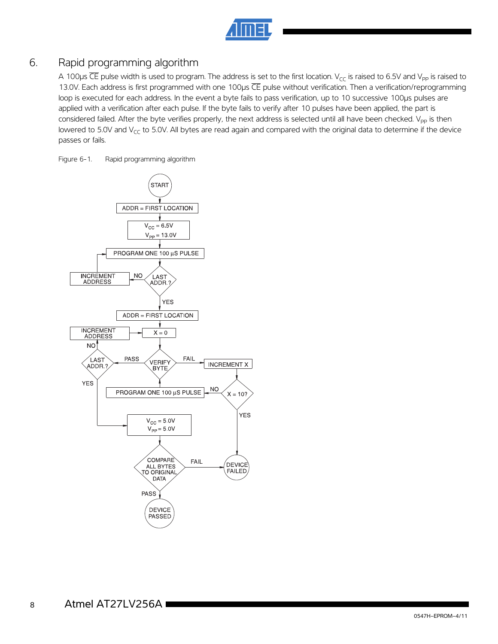## 6. Rapid programming algorithm

A 100 $\mu$ s  $\overline{CE}$  pulse width is used to program. The address is set to the first location. V<sub>CC</sub> is raised to 6.5V and V<sub>PP</sub> is raised to 13.0V. Each address is first programmed with one 100µs CE pulse without verification. Then a verification/reprogramming loop is executed for each address. In the event a byte fails to pass verification, up to 10 successive 100µs pulses are applied with a verification after each pulse. If the byte fails to verify after 10 pulses have been applied, the part is considered failed. After the byte verifies properly, the next address is selected until all have been checked. V<sub>PP</sub> is then lowered to 5.0V and  $V_{CC}$  to 5.0V. All bytes are read again and compared with the original data to determine if the device passes or fails.

Figure 6-1. Rapid programming algorithm

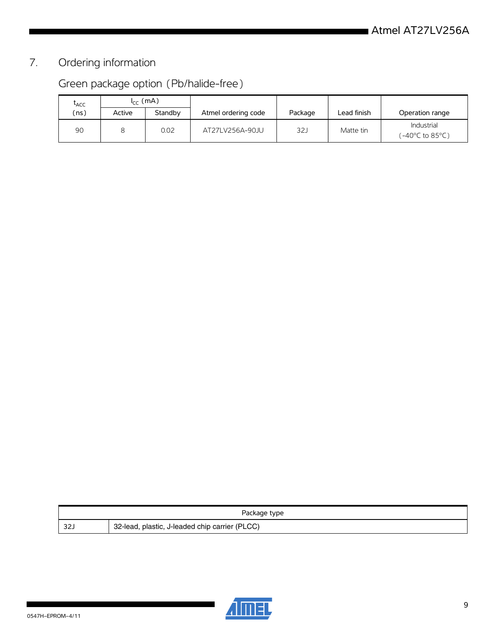# 7. Ordering information

# Green package option (Pb/halide-free)

| LACC | $I_{cc}$ (mA) |         |                     |         |             |                               |
|------|---------------|---------|---------------------|---------|-------------|-------------------------------|
| ns)  | Active        | Standby | Atmel ordering code | Package | Lead finish | Operation range               |
| 90   |               | 0.02    | AT27LV256A-90JU     | 32J     | Matte tin   | Industrial<br>(-40°C to 85°C) |

| Package type |                                                |  |  |  |  |
|--------------|------------------------------------------------|--|--|--|--|
| -32.         | 32-lead, plastic, J-leaded chip carrier (PLCC) |  |  |  |  |

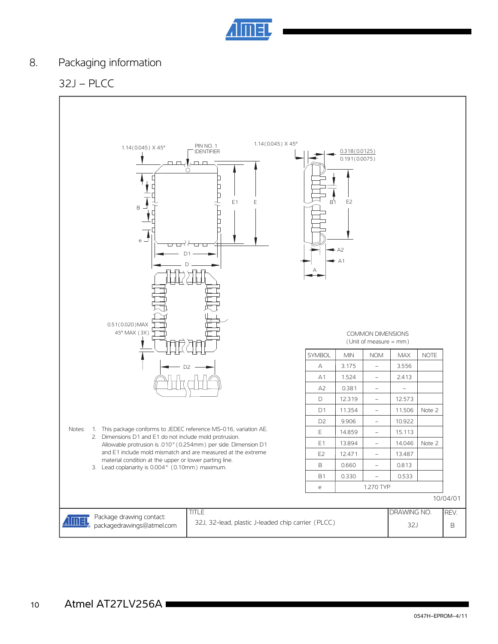

# 8. Packaging information

# 32J – PLCC

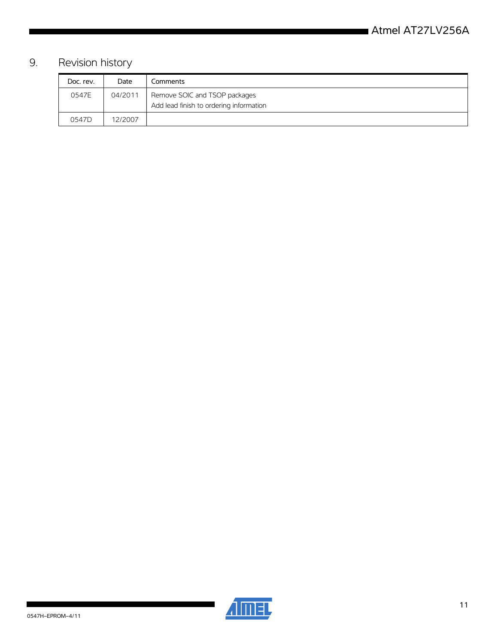# 9. Revision history

| Doc. rev. | Date    | Comments                                                                 |
|-----------|---------|--------------------------------------------------------------------------|
| 0547E     | 04/2011 | Remove SOIC and TSOP packages<br>Add lead finish to ordering information |
| 0547D     | 12/2007 |                                                                          |



ı